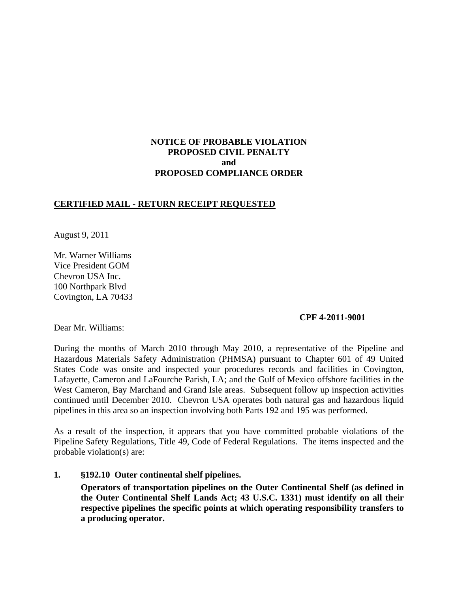# **NOTICE OF PROBABLE VIOLATION PROPOSED CIVIL PENALTY and PROPOSED COMPLIANCE ORDER**

# **CERTIFIED MAIL - RETURN RECEIPT REQUESTED**

August 9, 2011

Mr. Warner Williams Vice President GOM Chevron USA Inc. 100 Northpark Blvd Covington, LA 70433

### **CPF 4-2011-9001**

Dear Mr. Williams:

During the months of March 2010 through May 2010, a representative of the Pipeline and Hazardous Materials Safety Administration (PHMSA) pursuant to Chapter 601 of 49 United States Code was onsite and inspected your procedures records and facilities in Covington, Lafayette, Cameron and LaFourche Parish, LA; and the Gulf of Mexico offshore facilities in the West Cameron, Bay Marchand and Grand Isle areas. Subsequent follow up inspection activities continued until December 2010. Chevron USA operates both natural gas and hazardous liquid pipelines in this area so an inspection involving both Parts 192 and 195 was performed.

As a result of the inspection, it appears that you have committed probable violations of the Pipeline Safety Regulations, Title 49, Code of Federal Regulations. The items inspected and the probable violation(s) are:

**1. §192.10 Outer continental shelf pipelines.**

**Operators of transportation pipelines on the Outer Continental Shelf (as defined in the Outer Continental Shelf Lands Act; 43 U.S.C. 1331) must identify on all their respective pipelines the specific points at which operating responsibility transfers to a producing operator.**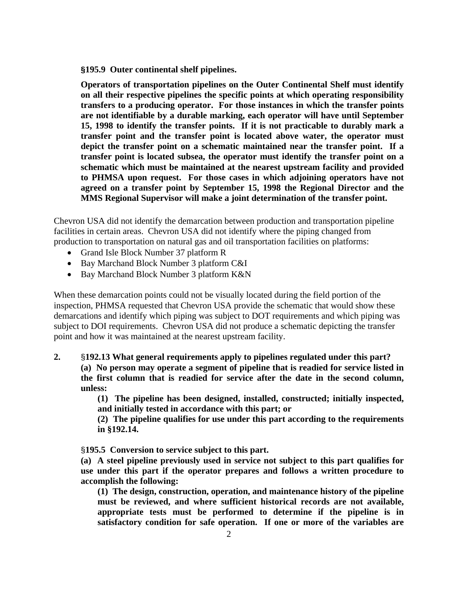**§195.9 Outer continental shelf pipelines.**

**Operators of transportation pipelines on the Outer Continental Shelf must identify on all their respective pipelines the specific points at which operating responsibility transfers to a producing operator. For those instances in which the transfer points are not identifiable by a durable marking, each operator will have until September 15, 1998 to identify the transfer points. If it is not practicable to durably mark a transfer point and the transfer point is located above water, the operator must depict the transfer point on a schematic maintained near the transfer point. If a transfer point is located subsea, the operator must identify the transfer point on a schematic which must be maintained at the nearest upstream facility and provided to PHMSA upon request. For those cases in which adjoining operators have not agreed on a transfer point by September 15, 1998 the Regional Director and the MMS Regional Supervisor will make a joint determination of the transfer point.**

Chevron USA did not identify the demarcation between production and transportation pipeline facilities in certain areas. Chevron USA did not identify where the piping changed from production to transportation on natural gas and oil transportation facilities on platforms:

- Grand Isle Block Number 37 platform R
- Bay Marchand Block Number 3 platform C&I
- Bay Marchand Block Number 3 platform K&N

When these demarcation points could not be visually located during the field portion of the inspection, PHMSA requested that Chevron USA provide the schematic that would show these demarcations and identify which piping was subject to DOT requirements and which piping was subject to DOI requirements. Chevron USA did not produce a schematic depicting the transfer point and how it was maintained at the nearest upstream facility.

**2.** §**192.13 What general requirements apply to pipelines regulated under this part? (a) No person may operate a segment of pipeline that is readied for service listed in the first column that is readied for service after the date in the second column, unless:**

> **(1) The pipeline has been designed, installed, constructed; initially inspected, and initially tested in accordance with this part; or**

> **(2) The pipeline qualifies for use under this part according to the requirements in §192.14.**

§**195.5 Conversion to service subject to this part.**

**(a) A steel pipeline previously used in service not subject to this part qualifies for use under this part if the operator prepares and follows a written procedure to accomplish the following:**

**(1) The design, construction, operation, and maintenance history of the pipeline must be reviewed, and where sufficient historical records are not available, appropriate tests must be performed to determine if the pipeline is in satisfactory condition for safe operation. If one or more of the variables are**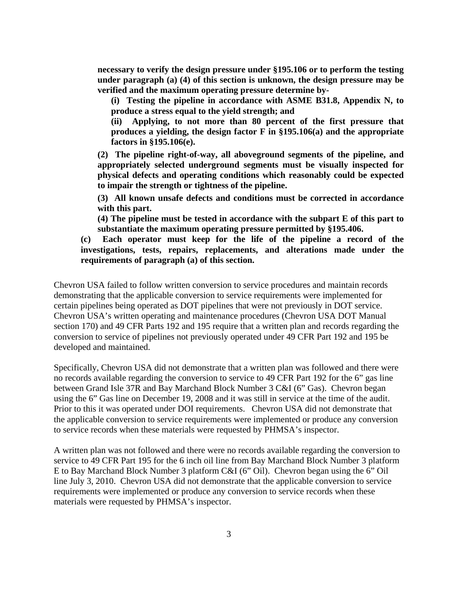**necessary to verify the design pressure under §195.106 or to perform the testing under paragraph (a) (4) of this section is unknown, the design pressure may be verified and the maximum operating pressure determine by-**

**(i) Testing the pipeline in accordance with ASME B31.8, Appendix N, to produce a stress equal to the yield strength; and**

**(ii) Applying, to not more than 80 percent of the first pressure that produces a yielding, the design factor F in §195.106(a) and the appropriate factors in §195.106(e).**

**(2) The pipeline right-of-way, all aboveground segments of the pipeline, and appropriately selected underground segments must be visually inspected for physical defects and operating conditions which reasonably could be expected to impair the strength or tightness of the pipeline.**

**(3) All known unsafe defects and conditions must be corrected in accordance with this part.**

**(4) The pipeline must be tested in accordance with the subpart E of this part to substantiate the maximum operating pressure permitted by §195.406.**

**(c) Each operator must keep for the life of the pipeline a record of the investigations, tests, repairs, replacements, and alterations made under the requirements of paragraph (a) of this section.**

Chevron USA failed to follow written conversion to service procedures and maintain records demonstrating that the applicable conversion to service requirements were implemented for certain pipelines being operated as DOT pipelines that were not previously in DOT service. Chevron USA's written operating and maintenance procedures (Chevron USA DOT Manual section 170) and 49 CFR Parts 192 and 195 require that a written plan and records regarding the conversion to service of pipelines not previously operated under 49 CFR Part 192 and 195 be developed and maintained.

Specifically, Chevron USA did not demonstrate that a written plan was followed and there were no records available regarding the conversion to service to 49 CFR Part 192 for the 6" gas line between Grand Isle 37R and Bay Marchand Block Number 3 C&I (6" Gas). Chevron began using the 6" Gas line on December 19, 2008 and it was still in service at the time of the audit. Prior to this it was operated under DOI requirements. Chevron USA did not demonstrate that the applicable conversion to service requirements were implemented or produce any conversion to service records when these materials were requested by PHMSA's inspector.

A written plan was not followed and there were no records available regarding the conversion to service to 49 CFR Part 195 for the 6 inch oil line from Bay Marchand Block Number 3 platform E to Bay Marchand Block Number 3 platform C&I (6" Oil). Chevron began using the 6" Oil line July 3, 2010. Chevron USA did not demonstrate that the applicable conversion to service requirements were implemented or produce any conversion to service records when these materials were requested by PHMSA's inspector.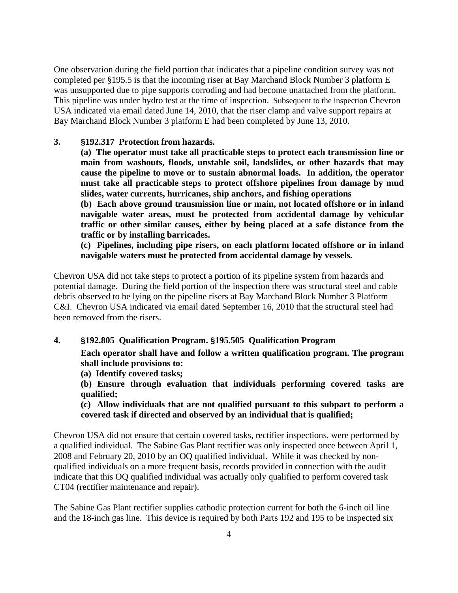One observation during the field portion that indicates that a pipeline condition survey was not completed per §195.5 is that the incoming riser at Bay Marchand Block Number 3 platform E was unsupported due to pipe supports corroding and had become unattached from the platform. This pipeline was under hydro test at the time of inspection. Subsequent to the inspection Chevron USA indicated via email dated June 14, 2010, that the riser clamp and valve support repairs at Bay Marchand Block Number 3 platform E had been completed by June 13, 2010.

### **3. §192.317 Protection from hazards.**

**(a) The operator must take all practicable steps to protect each transmission line or main from washouts, floods, unstable soil, landslides, or other hazards that may cause the pipeline to move or to sustain abnormal loads. In addition, the operator must take all practicable steps to protect offshore pipelines from damage by mud slides, water currents, hurricanes, ship anchors, and fishing operations**

**(b) Each above ground transmission line or main, not located offshore or in inland navigable water areas, must be protected from accidental damage by vehicular traffic or other similar causes, either by being placed at a safe distance from the traffic or by installing barricades.**

**(c) Pipelines, including pipe risers, on each platform located offshore or in inland navigable waters must be protected from accidental damage by vessels.** 

Chevron USA did not take steps to protect a portion of its pipeline system from hazards and potential damage. During the field portion of the inspection there was structural steel and cable debris observed to be lying on the pipeline risers at Bay Marchand Block Number 3 Platform C&I. Chevron USA indicated via email dated September 16, 2010 that the structural steel had been removed from the risers.

## **4. §192.805 Qualification Program. §195.505 Qualification Program**

**Each operator shall have and follow a written qualification program. The program shall include provisions to:**

**(a) Identify covered tasks;**

**(b) Ensure through evaluation that individuals performing covered tasks are qualified;**

**(c) Allow individuals that are not qualified pursuant to this subpart to perform a covered task if directed and observed by an individual that is qualified;**

Chevron USA did not ensure that certain covered tasks, rectifier inspections, were performed by a qualified individual. The Sabine Gas Plant rectifier was only inspected once between April 1, 2008 and February 20, 2010 by an OQ qualified individual. While it was checked by nonqualified individuals on a more frequent basis, records provided in connection with the audit indicate that this OQ qualified individual was actually only qualified to perform covered task CT04 (rectifier maintenance and repair).

The Sabine Gas Plant rectifier supplies cathodic protection current for both the 6-inch oil line and the 18-inch gas line. This device is required by both Parts 192 and 195 to be inspected six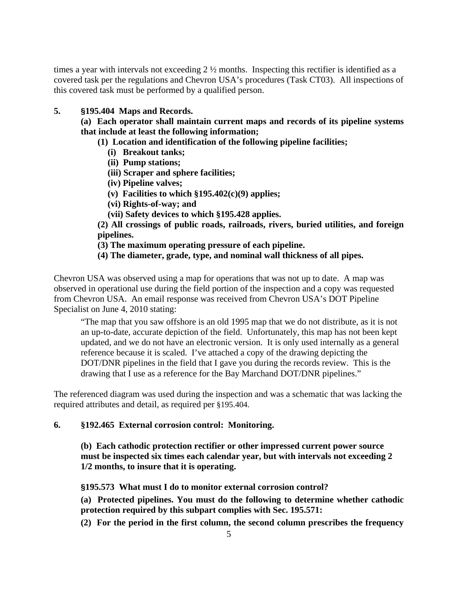times a year with intervals not exceeding 2 ½ months. Inspecting this rectifier is identified as a covered task per the regulations and Chevron USA's procedures (Task CT03). All inspections of this covered task must be performed by a qualified person.

# **5. §195.404 Maps and Records.**

**(a) Each operator shall maintain current maps and records of its pipeline systems that include at least the following information;**

- **(1) Location and identification of the following pipeline facilities;**
	- **(i) Breakout tanks;**
	- **(ii) Pump stations;**
	- **(iii) Scraper and sphere facilities;**
	- **(iv) Pipeline valves;**
	- **(v) Facilities to which §195.402(c)(9) applies;**
	- **(vi) Rights-of-way; and**
	- **(vii) Safety devices to which §195.428 applies.**

**(2) All crossings of public roads, railroads, rivers, buried utilities, and foreign pipelines.**

- **(3) The maximum operating pressure of each pipeline.**
- **(4) The diameter, grade, type, and nominal wall thickness of all pipes.**

Chevron USA was observed using a map for operations that was not up to date. A map was observed in operational use during the field portion of the inspection and a copy was requested from Chevron USA. An email response was received from Chevron USA's DOT Pipeline Specialist on June 4, 2010 stating:

"The map that you saw offshore is an old 1995 map that we do not distribute, as it is not an up-to-date, accurate depiction of the field. Unfortunately, this map has not been kept updated, and we do not have an electronic version. It is only used internally as a general reference because it is scaled. I've attached a copy of the drawing depicting the DOT/DNR pipelines in the field that I gave you during the records review. This is the drawing that I use as a reference for the Bay Marchand DOT/DNR pipelines."

The referenced diagram was used during the inspection and was a schematic that was lacking the required attributes and detail, as required per §195.404.

# **6. §192.465 External corrosion control: Monitoring.**

**(b) Each cathodic protection rectifier or other impressed current power source must be inspected six times each calendar year, but with intervals not exceeding 2 1/2 months, to insure that it is operating.**

**§195.573 What must I do to monitor external corrosion control?**

**(a) Protected pipelines. You must do the following to determine whether cathodic protection required by this subpart complies with Sec. 195.571:**

**(2) For the period in the first column, the second column prescribes the frequency**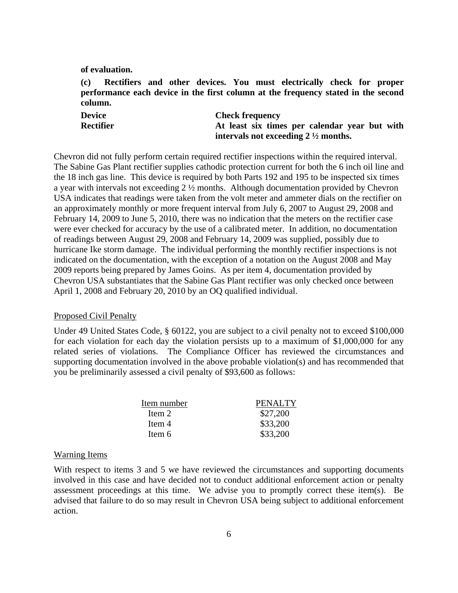**of evaluation.**

**(c) Rectifiers and other devices. You must electrically check for proper performance each device in the first column at the frequency stated in the second column.**

| Device    | <b>Check frequency</b>                         |
|-----------|------------------------------------------------|
| Rectifier | At least six times per calendar year but with  |
|           | intervals not exceeding $2\frac{1}{2}$ months. |

Chevron did not fully perform certain required rectifier inspections within the required interval. The Sabine Gas Plant rectifier supplies cathodic protection current for both the 6 inch oil line and the 18 inch gas line. This device is required by both Parts 192 and 195 to be inspected six times a year with intervals not exceeding 2 ½ months. Although documentation provided by Chevron USA indicates that readings were taken from the volt meter and ammeter dials on the rectifier on an approximately monthly or more frequent interval from July 6, 2007 to August 29, 2008 and February 14, 2009 to June 5, 2010, there was no indication that the meters on the rectifier case were ever checked for accuracy by the use of a calibrated meter. In addition, no documentation of readings between August 29, 2008 and February 14, 2009 was supplied, possibly due to hurricane Ike storm damage. The individual performing the monthly rectifier inspections is not indicated on the documentation, with the exception of a notation on the August 2008 and May 2009 reports being prepared by James Goins. As per item 4, documentation provided by Chevron USA substantiates that the Sabine Gas Plant rectifier was only checked once between April 1, 2008 and February 20, 2010 by an OQ qualified individual.

#### Proposed Civil Penalty

Under 49 United States Code, § 60122, you are subject to a civil penalty not to exceed \$100,000 for each violation for each day the violation persists up to a maximum of \$1,000,000 for any related series of violations. The Compliance Officer has reviewed the circumstances and supporting documentation involved in the above probable violation(s) and has recommended that you be preliminarily assessed a civil penalty of \$93,600 as follows:

| Item number | <b>PENALTY</b> |
|-------------|----------------|
| Item 2      | \$27,200       |
| Item 4      | \$33,200       |
| Item 6      | \$33,200       |

#### Warning Items

With respect to items 3 and 5 we have reviewed the circumstances and supporting documents involved in this case and have decided not to conduct additional enforcement action or penalty assessment proceedings at this time. We advise you to promptly correct these item(s). Be advised that failure to do so may result in Chevron USA being subject to additional enforcement action.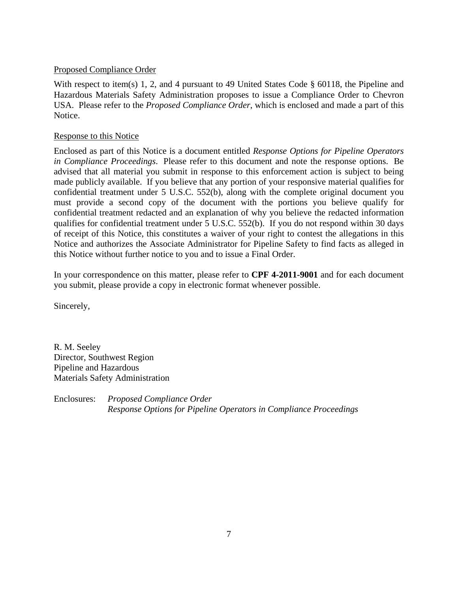## Proposed Compliance Order

With respect to item(s) 1, 2, and 4 pursuant to 49 United States Code § 60118, the Pipeline and Hazardous Materials Safety Administration proposes to issue a Compliance Order to Chevron USA. Please refer to the *Proposed Compliance Order*, which is enclosed and made a part of this Notice.

## Response to this Notice

Enclosed as part of this Notice is a document entitled *Response Options for Pipeline Operators in Compliance Proceedings*. Please refer to this document and note the response options. Be advised that all material you submit in response to this enforcement action is subject to being made publicly available. If you believe that any portion of your responsive material qualifies for confidential treatment under 5 U.S.C. 552(b), along with the complete original document you must provide a second copy of the document with the portions you believe qualify for confidential treatment redacted and an explanation of why you believe the redacted information qualifies for confidential treatment under 5 U.S.C. 552(b). If you do not respond within 30 days of receipt of this Notice, this constitutes a waiver of your right to contest the allegations in this Notice and authorizes the Associate Administrator for Pipeline Safety to find facts as alleged in this Notice without further notice to you and to issue a Final Order.

In your correspondence on this matter, please refer to **CPF 4-2011-9001** and for each document you submit, please provide a copy in electronic format whenever possible.

Sincerely,

R. M. Seeley Director, Southwest Region Pipeline and Hazardous Materials Safety Administration

Enclosures: *Proposed Compliance Order Response Options for Pipeline Operators in Compliance Proceedings*